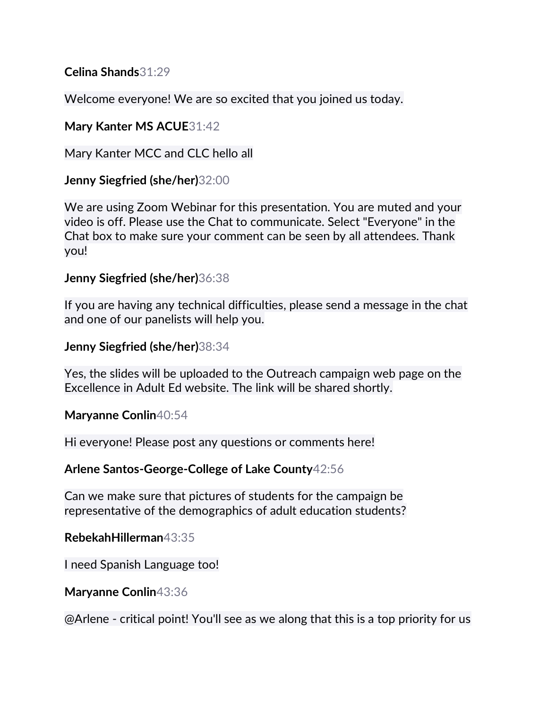**Celina Shands**31:29

Welcome everyone! We are so excited that you joined us today.

**Mary Kanter MS ACUE**31:42

Mary Kanter MCC and CLC hello all

**Jenny Siegfried (she/her)**32:00

We are using Zoom Webinar for this presentation. You are muted and your video is off. Please use the Chat to communicate. Select "Everyone" in the Chat box to make sure your comment can be seen by all attendees. Thank you!

## **Jenny Siegfried (she/her)**36:38

If you are having any technical difficulties, please send a message in the chat and one of our panelists will help you.

**Jenny Siegfried (she/her)**38:34

Yes, the slides will be uploaded to the Outreach campaign web page on the Excellence in Adult Ed website. The link will be shared shortly.

**Maryanne Conlin**40:54

Hi everyone! Please post any questions or comments here!

**Arlene Santos-George-College of Lake County**42:56

Can we make sure that pictures of students for the campaign be representative of the demographics of adult education students?

**RebekahHillerman**43:35

I need Spanish Language too!

**Maryanne Conlin**43:36

@Arlene - critical point! You'll see as we along that this is a top priority for us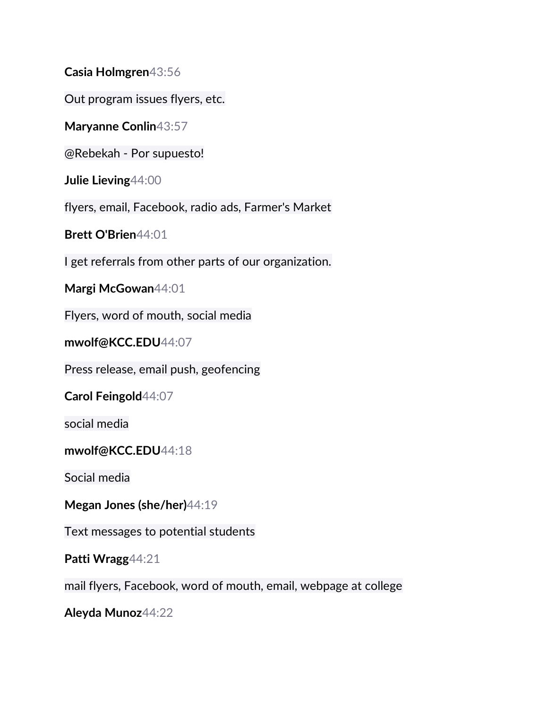**Casia Holmgren**43:56

Out program issues flyers, etc.

**Maryanne Conlin**43:57

@Rebekah - Por supuesto!

**Julie Lieving**44:00

flyers, email, Facebook, radio ads, Farmer's Market

**Brett O'Brien**44:01

I get referrals from other parts of our organization.

**Margi McGowan**44:01

Flyers, word of mouth, social media

**mwolf@KCC.EDU**44:07

Press release, email push, geofencing

**Carol Feingold**44:07

social media

#### **mwolf@KCC.EDU**44:18

Social media

**Megan Jones (she/her)**44:19

Text messages to potential students

**Patti Wragg**44:21

mail flyers, Facebook, word of mouth, email, webpage at college

**Aleyda Munoz**44:22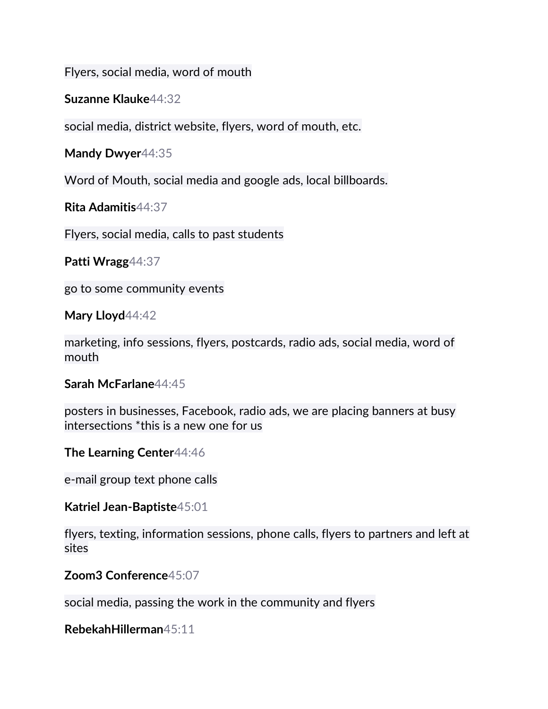Flyers, social media, word of mouth

**Suzanne Klauke**44:32

social media, district website, flyers, word of mouth, etc.

**Mandy Dwyer**44:35

Word of Mouth, social media and google ads, local billboards.

**Rita Adamitis**44:37

Flyers, social media, calls to past students

**Patti Wragg**44:37

go to some community events

**Mary Lloyd**44:42

marketing, info sessions, flyers, postcards, radio ads, social media, word of mouth

**Sarah McFarlane**44:45

posters in businesses, Facebook, radio ads, we are placing banners at busy intersections \*this is a new one for us

**The Learning Center**44:46

e-mail group text phone calls

**Katriel Jean-Baptiste**45:01

flyers, texting, information sessions, phone calls, flyers to partners and left at sites

**Zoom3 Conference**45:07

social media, passing the work in the community and flyers

**RebekahHillerman**45:11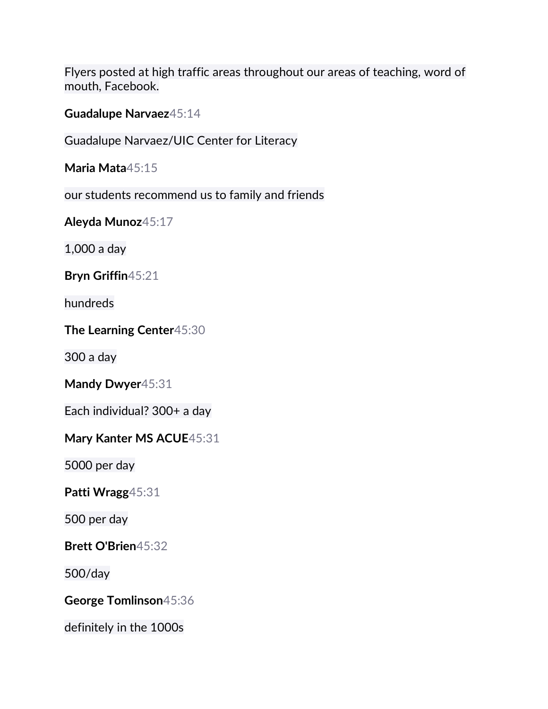Flyers posted at high traffic areas throughout our areas of teaching, word of mouth, Facebook.

**Guadalupe Narvaez**45:14

Guadalupe Narvaez/UIC Center for Literacy

**Maria Mata**45:15

our students recommend us to family and friends

**Aleyda Munoz**45:17

1,000 a day

**Bryn Griffin**45:21

hundreds

**The Learning Center**45:30

300 a day

**Mandy Dwyer**45:31

Each individual? 300+ a day

**Mary Kanter MS ACUE**45:31

5000 per day

**Patti Wragg**45:31

500 per day

**Brett O'Brien**45:32

500/day

**George Tomlinson**45:36

definitely in the 1000s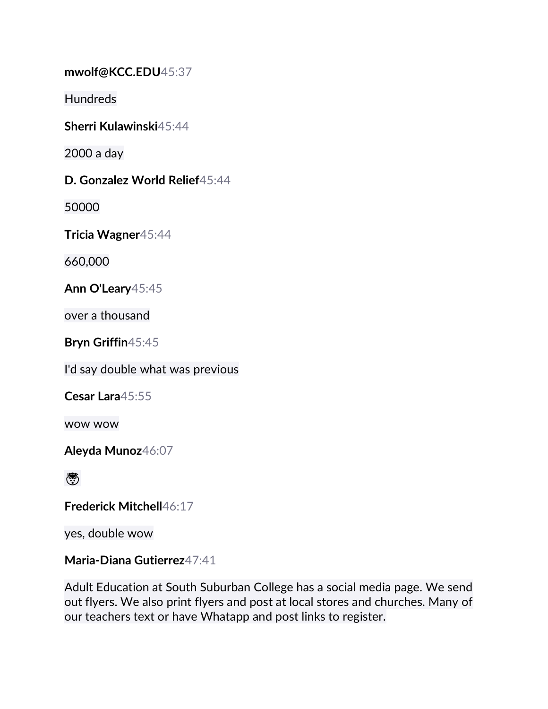**mwolf@KCC.EDU**45:37

Hundreds

**Sherri Kulawinski**45:44

2000 a day

**D. Gonzalez World Relief**45:44

50000

**Tricia Wagner**45:44

660,000

**Ann O'Leary**45:45

over a thousand

**Bryn Griffin**45:45

I'd say double what was previous

**Cesar Lara**45:55

wow wow

**Aleyda Munoz**46:07

ريخ

**Frederick Mitchell**46:17

yes, double wow

## **Maria-Diana Gutierrez**47:41

Adult Education at South Suburban College has a social media page. We send out flyers. We also print flyers and post at local stores and churches. Many of our teachers text or have Whatapp and post links to register.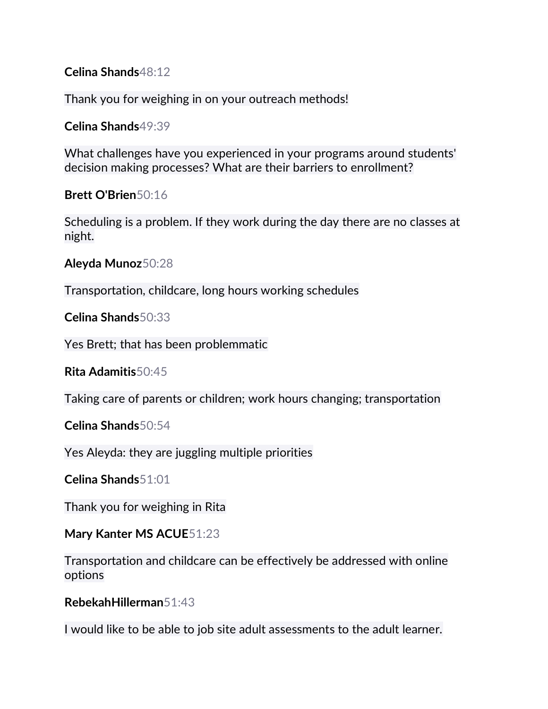**Celina Shands**48:12

Thank you for weighing in on your outreach methods!

**Celina Shands**49:39

What challenges have you experienced in your programs around students' decision making processes? What are their barriers to enrollment?

**Brett O'Brien**50:16

Scheduling is a problem. If they work during the day there are no classes at night.

**Aleyda Munoz**50:28

Transportation, childcare, long hours working schedules

**Celina Shands**50:33

Yes Brett; that has been problemmatic

**Rita Adamitis**50:45

Taking care of parents or children; work hours changing; transportation

**Celina Shands**50:54

Yes Aleyda: they are juggling multiple priorities

**Celina Shands**51:01

Thank you for weighing in Rita

**Mary Kanter MS ACUE**51:23

Transportation and childcare can be effectively be addressed with online options

**RebekahHillerman**51:43

I would like to be able to job site adult assessments to the adult learner.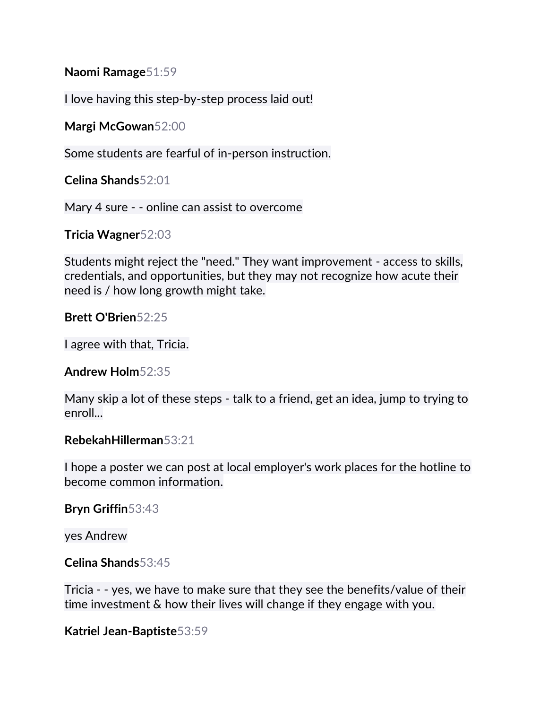**Naomi Ramage**51:59

I love having this step-by-step process laid out!

**Margi McGowan**52:00

Some students are fearful of in-person instruction.

**Celina Shands**52:01

Mary 4 sure - - online can assist to overcome

**Tricia Wagner**52:03

Students might reject the "need." They want improvement - access to skills, credentials, and opportunities, but they may not recognize how acute their need is / how long growth might take.

**Brett O'Brien**52:25

I agree with that, Tricia.

**Andrew Holm**52:35

Many skip a lot of these steps - talk to a friend, get an idea, jump to trying to enroll...

#### **RebekahHillerman**53:21

I hope a poster we can post at local employer's work places for the hotline to become common information.

**Bryn Griffin**53:43

yes Andrew

**Celina Shands**53:45

Tricia - - yes, we have to make sure that they see the benefits/value of their time investment & how their lives will change if they engage with you.

**Katriel Jean-Baptiste**53:59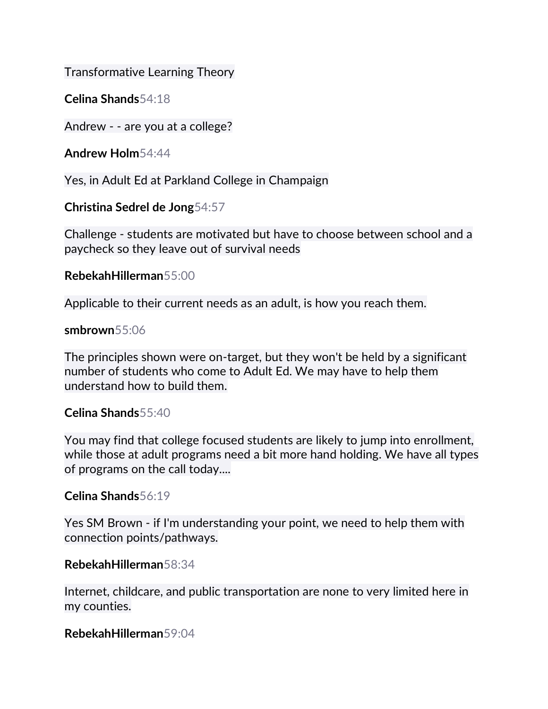Transformative Learning Theory

**Celina Shands**54:18

Andrew - - are you at a college?

**Andrew Holm**54:44

Yes, in Adult Ed at Parkland College in Champaign

**Christina Sedrel de Jong**54:57

Challenge - students are motivated but have to choose between school and a paycheck so they leave out of survival needs

## **RebekahHillerman**55:00

Applicable to their current needs as an adult, is how you reach them.

#### **smbrown**55:06

The principles shown were on-target, but they won't be held by a significant number of students who come to Adult Ed. We may have to help them understand how to build them.

## **Celina Shands**55:40

You may find that college focused students are likely to jump into enrollment, while those at adult programs need a bit more hand holding. We have all types of programs on the call today....

## **Celina Shands**56:19

Yes SM Brown - if I'm understanding your point, we need to help them with connection points/pathways.

## **RebekahHillerman**58:34

Internet, childcare, and public transportation are none to very limited here in my counties.

# **RebekahHillerman**59:04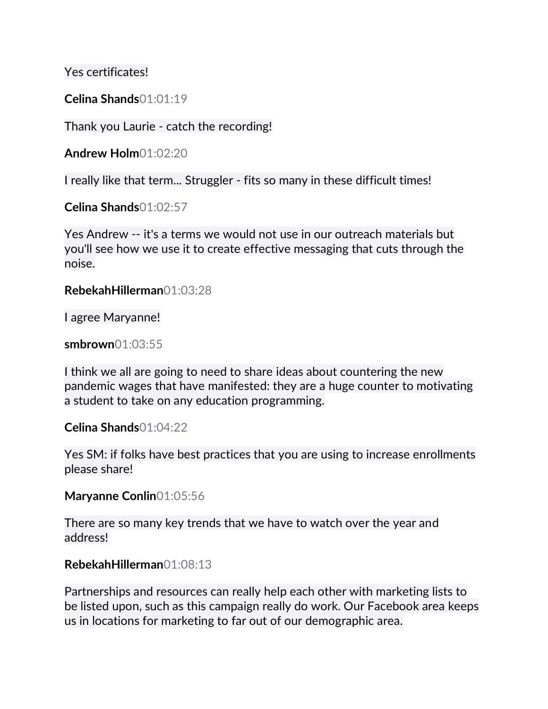Yes certificates!

#### **Celina Shands**01:01:19

Thank you Laurie - catch the recording!

**Andrew Holm**01:02:20

I really like that term... Struggler - fits so many in these difficult times!

**Celina Shands**01:02:57

Yes Andrew -- it's a terms we would not use in our outreach materials but you'll see how we use it to create effective messaging that cuts through the noise.

**RebekahHillerman**01:03:28

I agree Maryanne!

**smbrown**01:03:55

I think we all are going to need to share ideas about countering the new pandemic wages that have manifested: they are a huge counter to motivating a student to take on any education programming.

#### **Celina Shands**01:04:22

Yes SM: if folks have best practices that you are using to increase enrollments please share!

**Maryanne Conlin**01:05:56

There are so many key trends that we have to watch over the year and address!

#### **RebekahHillerman**01:08:13

Partnerships and resources can really help each other with marketing lists to be listed upon, such as this campaign really do work. Our Facebook area keeps us in locations for marketing to far out of our demographic area.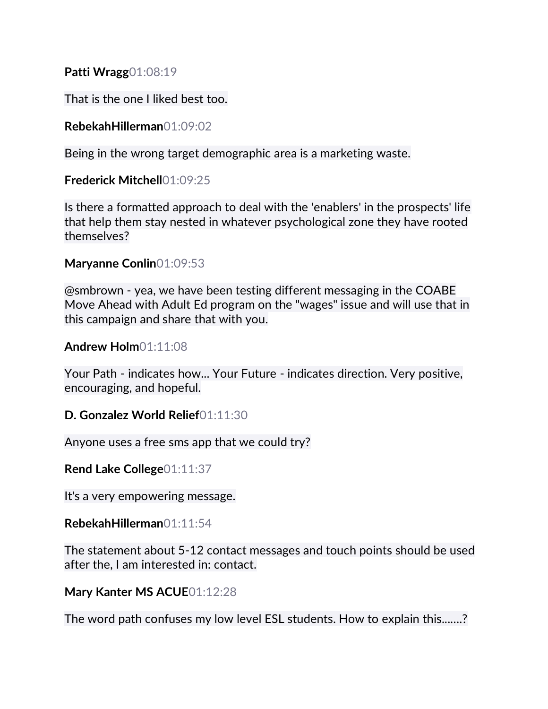**Patti Wragg**01:08:19

That is the one I liked best too.

## **RebekahHillerman**01:09:02

Being in the wrong target demographic area is a marketing waste.

## **Frederick Mitchell**01:09:25

Is there a formatted approach to deal with the 'enablers' in the prospects' life that help them stay nested in whatever psychological zone they have rooted themselves?

## **Maryanne Conlin**01:09:53

@smbrown - yea, we have been testing different messaging in the COABE Move Ahead with Adult Ed program on the "wages" issue and will use that in this campaign and share that with you.

## **Andrew Holm**01:11:08

Your Path - indicates how... Your Future - indicates direction. Very positive, encouraging, and hopeful.

## **D. Gonzalez World Relief**01:11:30

Anyone uses a free sms app that we could try?

**Rend Lake College**01:11:37

It's a very empowering message.

## **RebekahHillerman**01:11:54

The statement about 5-12 contact messages and touch points should be used after the, I am interested in: contact.

## **Mary Kanter MS ACUE**01:12:28

The word path confuses my low level ESL students. How to explain this...….?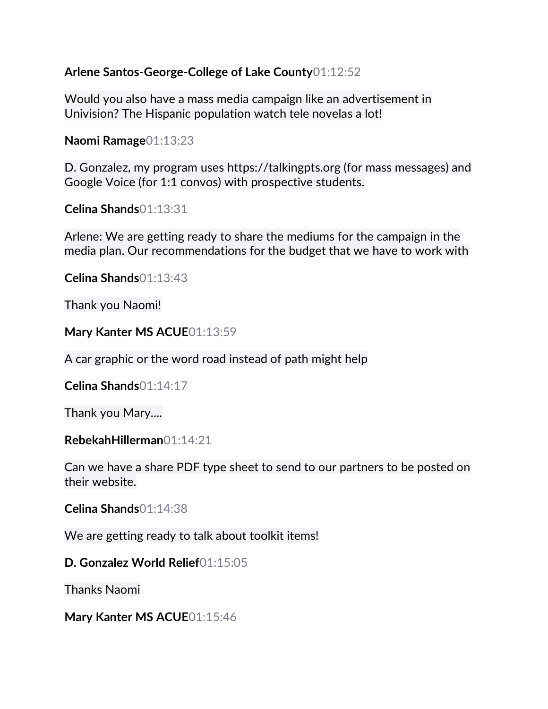#### **Arlene Santos-George-College of Lake County**01:12:52

Would you also have a mass media campaign like an advertisement in Univision? The Hispanic population watch tele novelas a lot!

**Naomi Ramage**01:13:23

D. Gonzalez, my program uses https://talkingpts.org (for mass messages) and Google Voice (for 1:1 convos) with prospective students.

**Celina Shands**01:13:31

Arlene: We are getting ready to share the mediums for the campaign in the media plan. Our recommendations for the budget that we have to work with

**Celina Shands**01:13:43

Thank you Naomi!

**Mary Kanter MS ACUE**01:13:59

A car graphic or the word road instead of path might help

**Celina Shands**01:14:17

Thank you Mary....

**RebekahHillerman**01:14:21

Can we have a share PDF type sheet to send to our partners to be posted on their website.

**Celina Shands**01:14:38

We are getting ready to talk about toolkit items!

**D. Gonzalez World Relief**01:15:05

Thanks Naomi

**Mary Kanter MS ACUE**01:15:46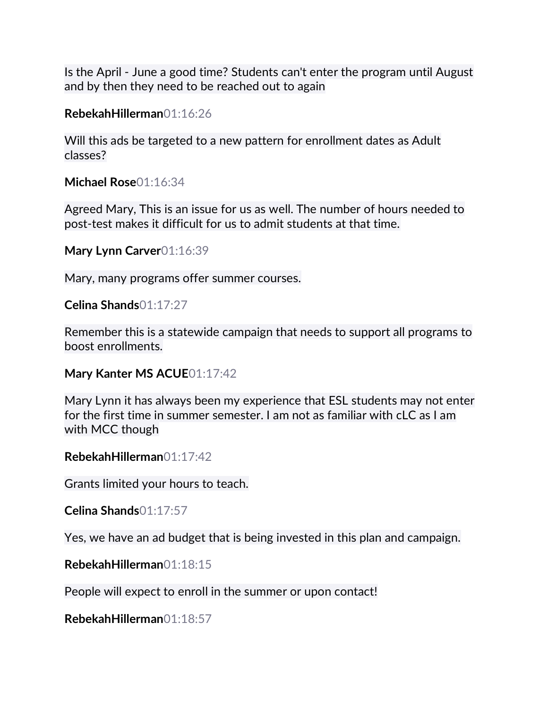Is the April - June a good time? Students can't enter the program until August and by then they need to be reached out to again

**RebekahHillerman**01:16:26

Will this ads be targeted to a new pattern for enrollment dates as Adult classes?

**Michael Rose**01:16:34

Agreed Mary, This is an issue for us as well. The number of hours needed to post-test makes it difficult for us to admit students at that time.

**Mary Lynn Carver**01:16:39

Mary, many programs offer summer courses.

**Celina Shands**01:17:27

Remember this is a statewide campaign that needs to support all programs to boost enrollments.

**Mary Kanter MS ACUE**01:17:42

Mary Lynn it has always been my experience that ESL students may not enter for the first time in summer semester. I am not as familiar with cLC as I am with MCC though

**RebekahHillerman**01:17:42

Grants limited your hours to teach.

**Celina Shands**01:17:57

Yes, we have an ad budget that is being invested in this plan and campaign.

**RebekahHillerman**01:18:15

People will expect to enroll in the summer or upon contact!

**RebekahHillerman**01:18:57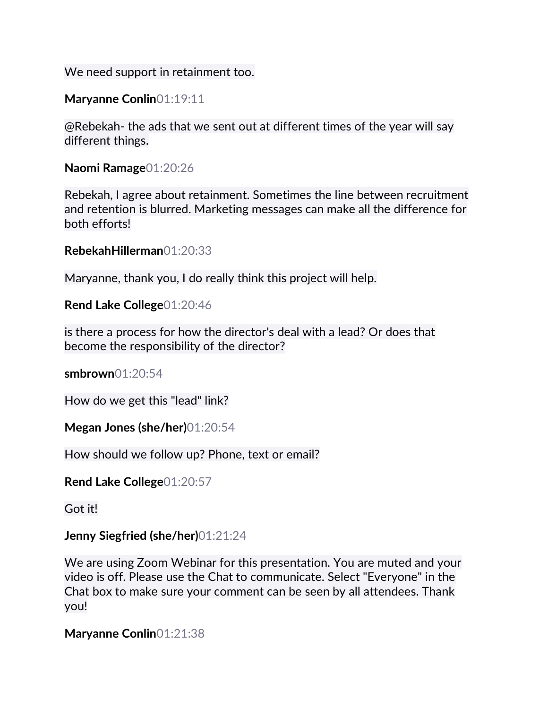We need support in retainment too.

**Maryanne Conlin**01:19:11

@Rebekah- the ads that we sent out at different times of the year will say different things.

**Naomi Ramage**01:20:26

Rebekah, I agree about retainment. Sometimes the line between recruitment and retention is blurred. Marketing messages can make all the difference for both efforts!

**RebekahHillerman**01:20:33

Maryanne, thank you, I do really think this project will help.

**Rend Lake College**01:20:46

is there a process for how the director's deal with a lead? Or does that become the responsibility of the director?

**smbrown**01:20:54

How do we get this "lead" link?

**Megan Jones (she/her)**01:20:54

How should we follow up? Phone, text or email?

**Rend Lake College**01:20:57

Got it!

**Jenny Siegfried (she/her)**01:21:24

We are using Zoom Webinar for this presentation. You are muted and your video is off. Please use the Chat to communicate. Select "Everyone" in the Chat box to make sure your comment can be seen by all attendees. Thank you!

**Maryanne Conlin**01:21:38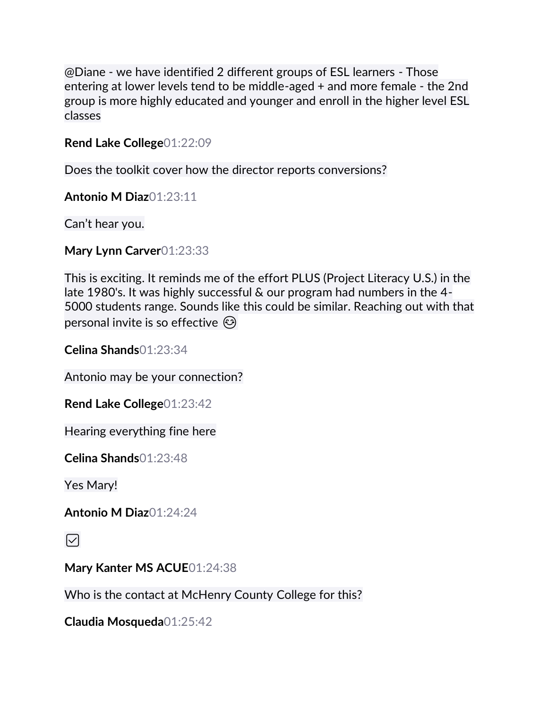@Diane - we have identified 2 different groups of ESL learners - Those entering at lower levels tend to be middle-aged + and more female - the 2nd group is more highly educated and younger and enroll in the higher level ESL classes

**Rend Lake College**01:22:09

Does the toolkit cover how the director reports conversions?

**Antonio M Diaz**01:23:11

Can't hear you.

**Mary Lynn Carver**01:23:33

This is exciting. It reminds me of the effort PLUS (Project Literacy U.S.) in the late 1980's. It was highly successful & our program had numbers in the 4- 5000 students range. Sounds like this could be similar. Reaching out with that personal invite is so effective  $\odot$ 

**Celina Shands**01:23:34

Antonio may be your connection?

**Rend Lake College**01:23:42

Hearing everything fine here

**Celina Shands**01:23:48

Yes Mary!

**Antonio M Diaz**01:24:24

 $\triangledown$ 

**Mary Kanter MS ACUE**01:24:38

Who is the contact at McHenry County College for this?

**Claudia Mosqueda**01:25:42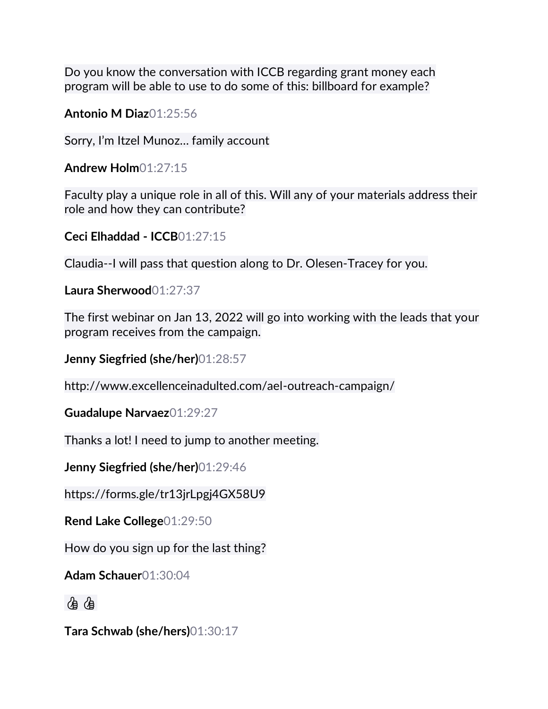Do you know the conversation with ICCB regarding grant money each program will be able to use to do some of this: billboard for example?

**Antonio M Diaz**01:25:56

Sorry, I'm Itzel Munoz… family account

**Andrew Holm**01:27:15

Faculty play a unique role in all of this. Will any of your materials address their role and how they can contribute?

**Ceci Elhaddad - ICCB**01:27:15

Claudia--I will pass that question along to Dr. Olesen-Tracey for you.

**Laura Sherwood**01:27:37

The first webinar on Jan 13, 2022 will go into working with the leads that your program receives from the campaign.

**Jenny Siegfried (she/her)**01:28:57

http://www.excellenceinadulted.com/ael-outreach-campaign/

**Guadalupe Narvaez**01:29:27

Thanks a lot! I need to jump to another meeting.

**Jenny Siegfried (she/her)**01:29:46

https://forms.gle/tr13jrLpgj4GX58U9

**Rend Lake College**01:29:50

How do you sign up for the last thing?

**Adam Schauer**01:30:04

98

**Tara Schwab (she/hers)**01:30:17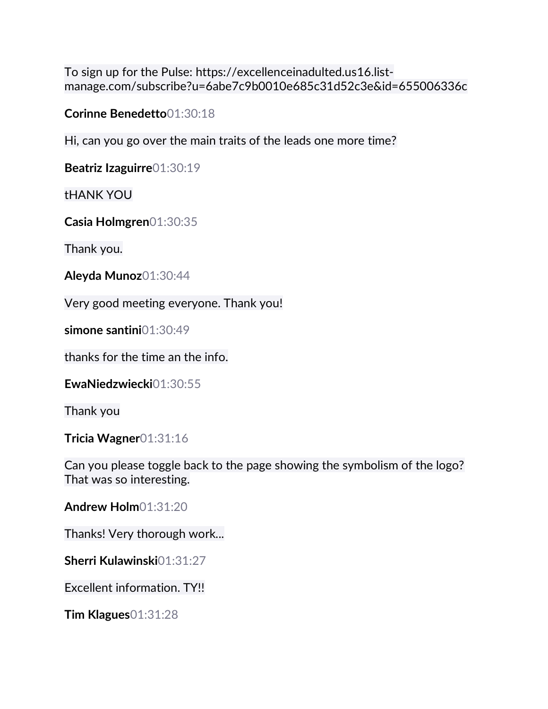To sign up for the Pulse: https://excellenceinadulted.us16.listmanage.com/subscribe?u=6abe7c9b0010e685c31d52c3e&id=655006336c

**Corinne Benedetto**01:30:18

Hi, can you go over the main traits of the leads one more time?

**Beatriz Izaguirre**01:30:19

tHANK YOU

**Casia Holmgren**01:30:35

Thank you.

**Aleyda Munoz**01:30:44

Very good meeting everyone. Thank you!

**simone santini**01:30:49

thanks for the time an the info.

**EwaNiedzwiecki**01:30:55

Thank you

**Tricia Wagner**01:31:16

Can you please toggle back to the page showing the symbolism of the logo? That was so interesting.

**Andrew Holm**01:31:20

Thanks! Very thorough work...

**Sherri Kulawinski**01:31:27

Excellent information. TY!!

**Tim Klagues**01:31:28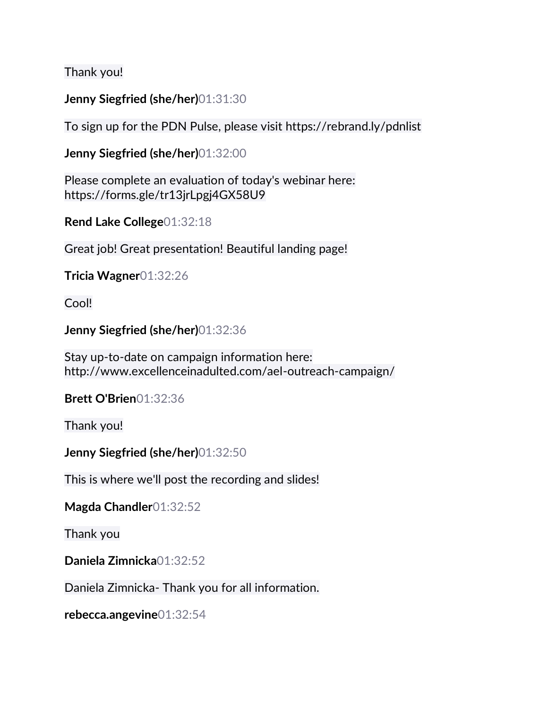Thank you!

## **Jenny Siegfried (she/her)**01:31:30

To sign up for the PDN Pulse, please visit https://rebrand.ly/pdnlist

**Jenny Siegfried (she/her)**01:32:00

Please complete an evaluation of today's webinar here: https://forms.gle/tr13jrLpgj4GX58U9

**Rend Lake College**01:32:18

Great job! Great presentation! Beautiful landing page!

**Tricia Wagner**01:32:26

Cool!

**Jenny Siegfried (she/her)**01:32:36

Stay up-to-date on campaign information here: http://www.excellenceinadulted.com/ael-outreach-campaign/

**Brett O'Brien**01:32:36

Thank you!

**Jenny Siegfried (she/her)**01:32:50

This is where we'll post the recording and slides!

**Magda Chandler**01:32:52

Thank you

**Daniela Zimnicka**01:32:52

Daniela Zimnicka- Thank you for all information.

**rebecca.angevine**01:32:54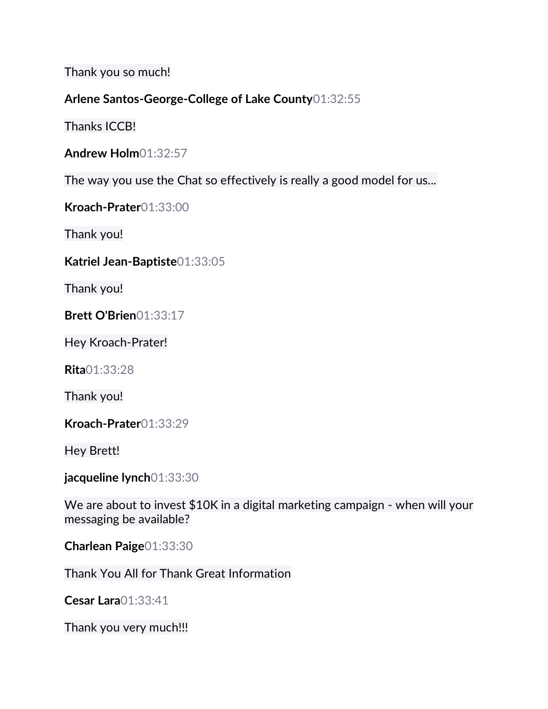Thank you so much!

## **Arlene Santos-George-College of Lake County**01:32:55

Thanks ICCB!

The way you use the Chat so effectively is really a good model for us...

**Kroach-Prater**01:33:00

Thank you!

#### **Katriel Jean-Baptiste**01:33:05

Thank you!

**Brett O'Brien**01:33:17

Hey Kroach-Prater!

**Rita**01:33:28

Thank you!

**Kroach-Prater**01:33:29

Hey Brett!

**jacqueline lynch**01:33:30

We are about to invest \$10K in a digital marketing campaign - when will your messaging be available?

**Charlean Paige**01:33:30

Thank You All for Thank Great Information

**Cesar Lara**01:33:41

Thank you very much!!!